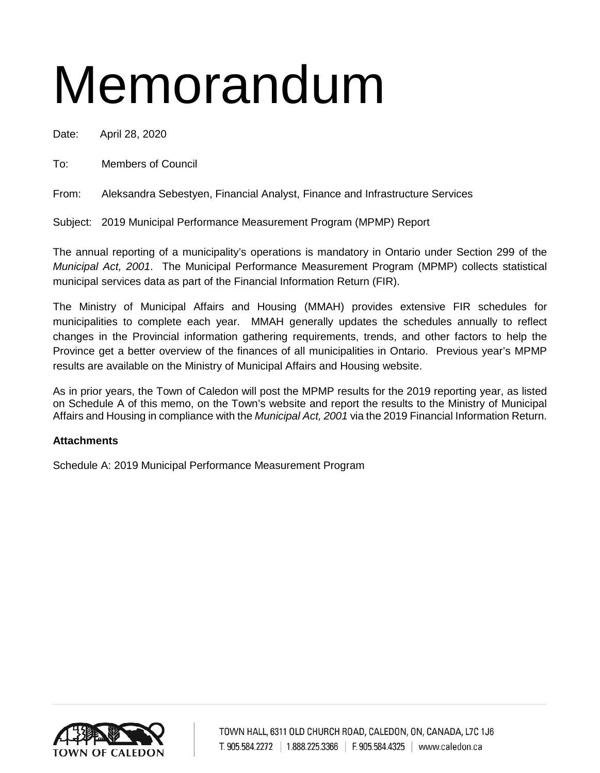# Memorandum

Date: April 28, 2020

To: Members of Council

From: Aleksandra Sebestyen, Financial Analyst, Finance and Infrastructure Services

Subject: 2019 Municipal Performance Measurement Program (MPMP) Report

The annual reporting of a municipality's operations is mandatory in Ontario under Section 299 of the *Municipal Act, 2001*. The Municipal Performance Measurement Program (MPMP) collects statistical municipal services data as part of the Financial Information Return (FIR).

The Ministry of Municipal Affairs and Housing (MMAH) provides extensive FIR schedules for municipalities to complete each year. MMAH generally updates the schedules annually to reflect changes in the Provincial information gathering requirements, trends, and other factors to help the Province get a better overview of the finances of all municipalities in Ontario. Previous year's MPMP results are available on the Ministry of Municipal Affairs and Housing website.

As in prior years, the Town of Caledon will post the MPMP results for the 2019 reporting year, as listed on Schedule A of this memo, on the Town's website and report the results to the Ministry of Municipal Affairs and Housing in compliance with the *Municipal Act, 2001* via the 2019 Financial Information Return.

# **Attachments**

Schedule A: 2019 Municipal Performance Measurement Program

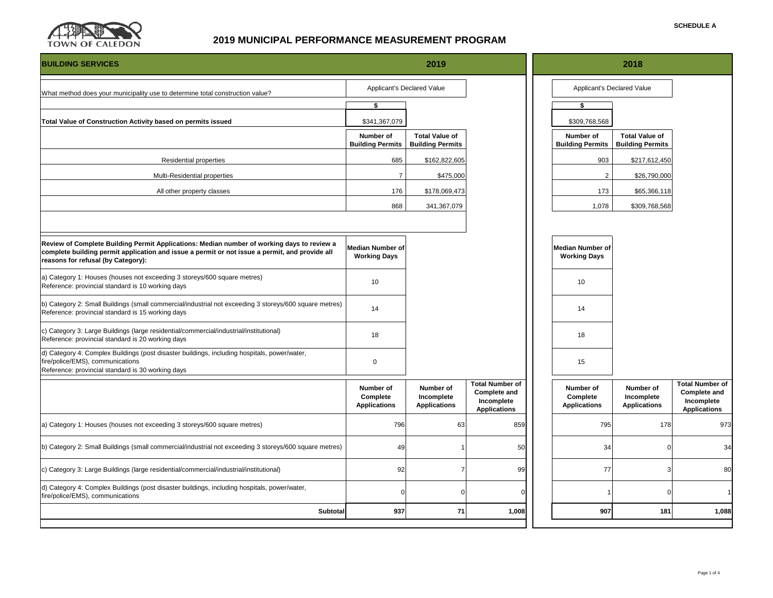

| <b>BUILDING SERVICES</b>                                                                                                                                                                                                           |                                              | 2019                                             |                                                                                    |                                                | 2018                                             |                                                                                    |
|------------------------------------------------------------------------------------------------------------------------------------------------------------------------------------------------------------------------------------|----------------------------------------------|--------------------------------------------------|------------------------------------------------------------------------------------|------------------------------------------------|--------------------------------------------------|------------------------------------------------------------------------------------|
| What method does your municipality use to determine total construction value?                                                                                                                                                      |                                              | Applicant's Declared Value                       |                                                                                    |                                                | Applicant's Declared Value                       |                                                                                    |
|                                                                                                                                                                                                                                    | $\overline{\mathbf{s}}$                      |                                                  |                                                                                    | $\overline{\mathbf{s}}$                        |                                                  |                                                                                    |
| Total Value of Construction Activity based on permits issued                                                                                                                                                                       | \$341,367,079                                |                                                  |                                                                                    | \$309,768,568                                  |                                                  |                                                                                    |
|                                                                                                                                                                                                                                    | Number of<br><b>Building Permits</b>         | <b>Total Value of</b><br><b>Building Permits</b> |                                                                                    | Number of<br><b>Building Permits</b>           | <b>Total Value of</b><br><b>Building Permits</b> |                                                                                    |
| Residential properties                                                                                                                                                                                                             | 685                                          | \$162,822,605                                    |                                                                                    | 903                                            | \$217,612,450                                    |                                                                                    |
| Multi-Residential properties                                                                                                                                                                                                       | $\overline{7}$                               | \$475,000                                        |                                                                                    | $\overline{2}$                                 | \$26,790,000                                     |                                                                                    |
| All other property classes                                                                                                                                                                                                         | 176                                          | \$178,069,473                                    |                                                                                    | 173                                            | \$65,366,118                                     |                                                                                    |
|                                                                                                                                                                                                                                    | 868                                          | 341,367,079                                      |                                                                                    | 1,078                                          | \$309,768,568                                    |                                                                                    |
|                                                                                                                                                                                                                                    |                                              |                                                  |                                                                                    |                                                |                                                  |                                                                                    |
| Review of Complete Building Permit Applications: Median number of working days to review a<br>complete building permit application and issue a permit or not issue a permit, and provide all<br>reasons for refusal (by Category): | Median Number of<br><b>Working Days</b>      |                                                  |                                                                                    | <b>Median Number of</b><br><b>Working Days</b> |                                                  |                                                                                    |
| a) Category 1: Houses (houses not exceeding 3 storeys/600 square metres)<br>Reference: provincial standard is 10 working days                                                                                                      | 10                                           |                                                  |                                                                                    | 10                                             |                                                  |                                                                                    |
| b) Category 2: Small Buildings (small commercial/industrial not exceeding 3 storeys/600 square metres)<br>Reference: provincial standard is 15 working days                                                                        | 14                                           |                                                  |                                                                                    | 14                                             |                                                  |                                                                                    |
| c) Category 3: Large Buildings (large residential/commercial/industrial/institutional)<br>Reference: provincial standard is 20 working days                                                                                        | 18                                           |                                                  |                                                                                    | 18                                             |                                                  |                                                                                    |
| d) Category 4: Complex Buildings (post disaster buildings, including hospitals, power/water,<br>fire/police/EMS), communications<br>Reference: provincial standard is 30 working days                                              | 0                                            |                                                  |                                                                                    | 15                                             |                                                  |                                                                                    |
|                                                                                                                                                                                                                                    | Number of<br>Complete<br><b>Applications</b> | Number of<br>Incomplete<br><b>Applications</b>   | <b>Total Number of</b><br><b>Complete and</b><br>Incomplete<br><b>Applications</b> | Number of<br>Complete<br><b>Applications</b>   | Number of<br>Incomplete<br><b>Applications</b>   | <b>Total Number of</b><br><b>Complete and</b><br>Incomplete<br><b>Applications</b> |
| a) Category 1: Houses (houses not exceeding 3 storeys/600 square metres)                                                                                                                                                           | 796                                          | 63                                               | 859                                                                                | 795                                            | 178                                              | 973                                                                                |
| b) Category 2: Small Buildings (small commercial/industrial not exceeding 3 storeys/600 square metres)                                                                                                                             | 49                                           |                                                  | 50                                                                                 | 34                                             | $\Omega$                                         | 34                                                                                 |
| c) Category 3: Large Buildings (large residential/commercial/industrial/institutional)                                                                                                                                             | 92                                           |                                                  | 99                                                                                 | 77                                             | 3                                                | 80                                                                                 |
| d) Category 4: Complex Buildings (post disaster buildings, including hospitals, power/water,<br>fire/police/EMS), communications                                                                                                   |                                              |                                                  |                                                                                    |                                                | $\Omega$                                         | $\overline{1}$                                                                     |
| Subtotal                                                                                                                                                                                                                           | 937                                          | 71                                               | 1,008                                                                              | 907                                            | 181                                              | 1,088                                                                              |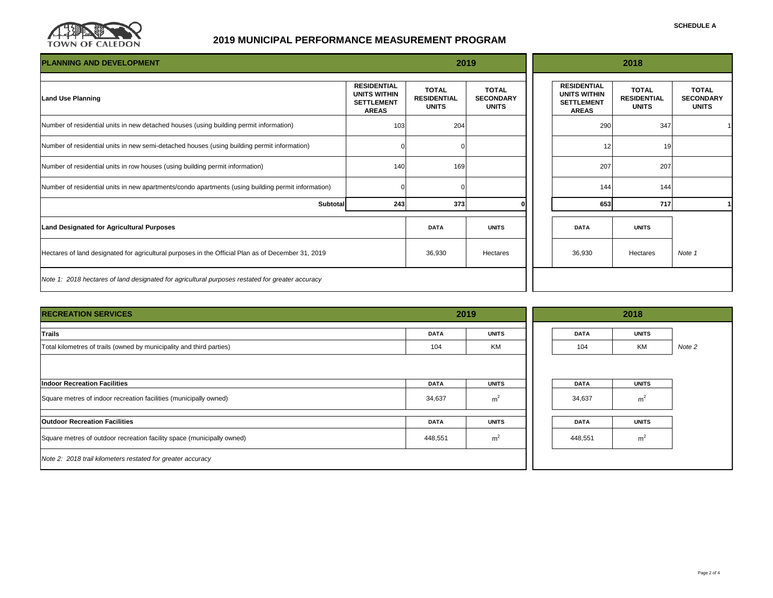

| <b>PLANNING AND DEVELOPMENT</b>                                                                    |                                                                                |                                                    | 2019                                             |                                                                                | 2018                                               |                                                  |
|----------------------------------------------------------------------------------------------------|--------------------------------------------------------------------------------|----------------------------------------------------|--------------------------------------------------|--------------------------------------------------------------------------------|----------------------------------------------------|--------------------------------------------------|
| <b>Land Use Planning</b>                                                                           | <b>RESIDENTIAL</b><br><b>UNITS WITHIN</b><br><b>SETTLEMENT</b><br><b>AREAS</b> | <b>TOTAL</b><br><b>RESIDENTIAL</b><br><b>UNITS</b> | <b>TOTAL</b><br><b>SECONDARY</b><br><b>UNITS</b> | <b>RESIDENTIAL</b><br><b>UNITS WITHIN</b><br><b>SETTLEMENT</b><br><b>AREAS</b> | <b>TOTAL</b><br><b>RESIDENTIAL</b><br><b>UNITS</b> | <b>TOTAL</b><br><b>SECONDARY</b><br><b>UNITS</b> |
| Number of residential units in new detached houses (using building permit information)             | 103                                                                            | 204                                                |                                                  | 290                                                                            | 347                                                |                                                  |
| Number of residential units in new semi-detached houses (using building permit information)        |                                                                                |                                                    |                                                  | 12                                                                             | 19                                                 |                                                  |
| Number of residential units in row houses (using building permit information)                      | 140                                                                            | 169                                                |                                                  | 207                                                                            | 207                                                |                                                  |
| Number of residential units in new apartments/condo apartments (using building permit information) |                                                                                |                                                    |                                                  | 144                                                                            | 144                                                |                                                  |
| <b>Subtotal</b>                                                                                    | 243                                                                            | 373                                                |                                                  | 653                                                                            | 717                                                |                                                  |
| <b>Land Designated for Agricultural Purposes</b>                                                   |                                                                                | <b>DATA</b>                                        | <b>UNITS</b>                                     | <b>DATA</b>                                                                    | <b>UNITS</b>                                       |                                                  |
| Hectares of land designated for agricultural purposes in the Official Plan as of December 31, 2019 |                                                                                | 36,930                                             | Hectares                                         | 36,930                                                                         | Hectares                                           | Note 1                                           |
| Note 1: 2018 hectares of land designated for agricultural purposes restated for greater accuracy   |                                                                                |                                                    |                                                  |                                                                                |                                                    |                                                  |

| <b>RECREATION SERVICES</b>                                             | 2019        |                |  | 2018        |                |        |  |  |
|------------------------------------------------------------------------|-------------|----------------|--|-------------|----------------|--------|--|--|
| Trails                                                                 | <b>DATA</b> | <b>UNITS</b>   |  | <b>DATA</b> | <b>UNITS</b>   |        |  |  |
| Total kilometres of trails (owned by municipality and third parties)   | 104         | <b>KM</b>      |  | 104         | КM             | Note 2 |  |  |
|                                                                        |             |                |  |             |                |        |  |  |
| <b>Indoor Recreation Facilities</b>                                    | <b>DATA</b> | <b>UNITS</b>   |  | <b>DATA</b> | <b>UNITS</b>   |        |  |  |
| Square metres of indoor recreation facilities (municipally owned)      | 34,637      | m <sup>2</sup> |  | 34,637      | m <sup>2</sup> |        |  |  |
| <b>Outdoor Recreation Facilities</b>                                   | <b>DATA</b> | <b>UNITS</b>   |  | <b>DATA</b> | <b>UNITS</b>   |        |  |  |
| Square metres of outdoor recreation facility space (municipally owned) | 448,551     | m <sup>2</sup> |  | 448,551     | m <sup>2</sup> |        |  |  |
| Note 2: 2018 trail kilometers restated for greater accuracy            |             |                |  |             |                |        |  |  |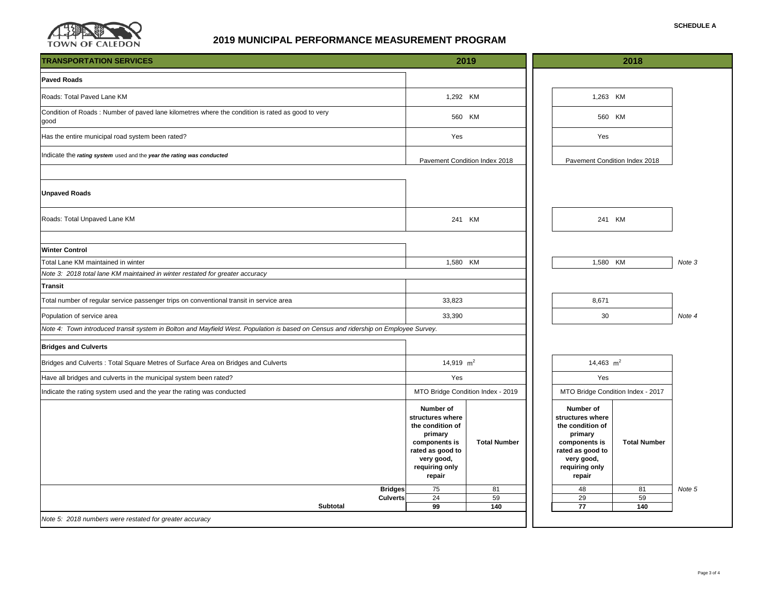

| <b>Paved Roads</b><br>Roads: Total Paved Lane KM<br>1,292 KM<br>1,263 KM<br>Condition of Roads: Number of paved lane kilometres where the condition is rated as good to very<br>560 KM<br>560 KM<br>good<br>Has the entire municipal road system been rated?<br>Yes<br>Yes<br>Indicate the rating system used and the year the rating was conducted<br>Pavement Condition Index 2018<br>Pavement Condition Index 2018<br><b>Unpaved Roads</b><br>241 KM<br>241 KM<br>Roads: Total Unpaved Lane KM<br><b>Winter Control</b><br>Total Lane KM maintained in winter<br>Note 3<br>1,580 KM<br>1,580 KM<br>Note 3: 2018 total lane KM maintained in winter restated for greater accuracy<br><b>Transit</b><br>33,823<br>8,671<br>Total number of regular service passenger trips on conventional transit in service area<br>33,390<br>30<br>Population of service area<br>Note 4<br>Note 4: Town introduced transit system in Bolton and Mayfield West. Population is based on Census and ridership on Employee Survey.<br><b>Bridges and Culverts</b><br>14,919 $m2$<br>14,463 $m2$<br>Bridges and Culverts: Total Square Metres of Surface Area on Bridges and Culverts<br>Yes<br>Yes<br>Have all bridges and culverts in the municipal system been rated?<br>MTO Bridge Condition Index - 2019<br>MTO Bridge Condition Index - 2017<br>Indicate the rating system used and the year the rating was conducted<br>Number of<br>Number of<br>structures where<br>structures where<br>the condition of<br>the condition of<br>primary<br>primary<br>components is<br><b>Total Number</b><br>components is<br><b>Total Number</b><br>rated as good to<br>rated as good to<br>very good,<br>very good,<br>requiring only<br>requiring only<br>repair<br>repair<br><b>Bridges</b><br>75<br>81<br>48<br>81<br>Note 5<br>24<br>59<br>29<br>59<br><b>Culverts</b><br><b>Subtotal</b><br>99<br>77<br>140<br>140<br>Note 5: 2018 numbers were restated for greater accuracy | <b>TRANSPORTATION SERVICES</b> | 2019 |  | 2018 |  |  |  |
|---------------------------------------------------------------------------------------------------------------------------------------------------------------------------------------------------------------------------------------------------------------------------------------------------------------------------------------------------------------------------------------------------------------------------------------------------------------------------------------------------------------------------------------------------------------------------------------------------------------------------------------------------------------------------------------------------------------------------------------------------------------------------------------------------------------------------------------------------------------------------------------------------------------------------------------------------------------------------------------------------------------------------------------------------------------------------------------------------------------------------------------------------------------------------------------------------------------------------------------------------------------------------------------------------------------------------------------------------------------------------------------------------------------------------------------------------------------------------------------------------------------------------------------------------------------------------------------------------------------------------------------------------------------------------------------------------------------------------------------------------------------------------------------------------------------------------------------------------------------------------------------------------------------------------------------------------------------|--------------------------------|------|--|------|--|--|--|
|                                                                                                                                                                                                                                                                                                                                                                                                                                                                                                                                                                                                                                                                                                                                                                                                                                                                                                                                                                                                                                                                                                                                                                                                                                                                                                                                                                                                                                                                                                                                                                                                                                                                                                                                                                                                                                                                                                                                                               |                                |      |  |      |  |  |  |
|                                                                                                                                                                                                                                                                                                                                                                                                                                                                                                                                                                                                                                                                                                                                                                                                                                                                                                                                                                                                                                                                                                                                                                                                                                                                                                                                                                                                                                                                                                                                                                                                                                                                                                                                                                                                                                                                                                                                                               |                                |      |  |      |  |  |  |
|                                                                                                                                                                                                                                                                                                                                                                                                                                                                                                                                                                                                                                                                                                                                                                                                                                                                                                                                                                                                                                                                                                                                                                                                                                                                                                                                                                                                                                                                                                                                                                                                                                                                                                                                                                                                                                                                                                                                                               |                                |      |  |      |  |  |  |
|                                                                                                                                                                                                                                                                                                                                                                                                                                                                                                                                                                                                                                                                                                                                                                                                                                                                                                                                                                                                                                                                                                                                                                                                                                                                                                                                                                                                                                                                                                                                                                                                                                                                                                                                                                                                                                                                                                                                                               |                                |      |  |      |  |  |  |
|                                                                                                                                                                                                                                                                                                                                                                                                                                                                                                                                                                                                                                                                                                                                                                                                                                                                                                                                                                                                                                                                                                                                                                                                                                                                                                                                                                                                                                                                                                                                                                                                                                                                                                                                                                                                                                                                                                                                                               |                                |      |  |      |  |  |  |
|                                                                                                                                                                                                                                                                                                                                                                                                                                                                                                                                                                                                                                                                                                                                                                                                                                                                                                                                                                                                                                                                                                                                                                                                                                                                                                                                                                                                                                                                                                                                                                                                                                                                                                                                                                                                                                                                                                                                                               |                                |      |  |      |  |  |  |
|                                                                                                                                                                                                                                                                                                                                                                                                                                                                                                                                                                                                                                                                                                                                                                                                                                                                                                                                                                                                                                                                                                                                                                                                                                                                                                                                                                                                                                                                                                                                                                                                                                                                                                                                                                                                                                                                                                                                                               |                                |      |  |      |  |  |  |
|                                                                                                                                                                                                                                                                                                                                                                                                                                                                                                                                                                                                                                                                                                                                                                                                                                                                                                                                                                                                                                                                                                                                                                                                                                                                                                                                                                                                                                                                                                                                                                                                                                                                                                                                                                                                                                                                                                                                                               |                                |      |  |      |  |  |  |
|                                                                                                                                                                                                                                                                                                                                                                                                                                                                                                                                                                                                                                                                                                                                                                                                                                                                                                                                                                                                                                                                                                                                                                                                                                                                                                                                                                                                                                                                                                                                                                                                                                                                                                                                                                                                                                                                                                                                                               |                                |      |  |      |  |  |  |
|                                                                                                                                                                                                                                                                                                                                                                                                                                                                                                                                                                                                                                                                                                                                                                                                                                                                                                                                                                                                                                                                                                                                                                                                                                                                                                                                                                                                                                                                                                                                                                                                                                                                                                                                                                                                                                                                                                                                                               |                                |      |  |      |  |  |  |
|                                                                                                                                                                                                                                                                                                                                                                                                                                                                                                                                                                                                                                                                                                                                                                                                                                                                                                                                                                                                                                                                                                                                                                                                                                                                                                                                                                                                                                                                                                                                                                                                                                                                                                                                                                                                                                                                                                                                                               |                                |      |  |      |  |  |  |
|                                                                                                                                                                                                                                                                                                                                                                                                                                                                                                                                                                                                                                                                                                                                                                                                                                                                                                                                                                                                                                                                                                                                                                                                                                                                                                                                                                                                                                                                                                                                                                                                                                                                                                                                                                                                                                                                                                                                                               |                                |      |  |      |  |  |  |
|                                                                                                                                                                                                                                                                                                                                                                                                                                                                                                                                                                                                                                                                                                                                                                                                                                                                                                                                                                                                                                                                                                                                                                                                                                                                                                                                                                                                                                                                                                                                                                                                                                                                                                                                                                                                                                                                                                                                                               |                                |      |  |      |  |  |  |
|                                                                                                                                                                                                                                                                                                                                                                                                                                                                                                                                                                                                                                                                                                                                                                                                                                                                                                                                                                                                                                                                                                                                                                                                                                                                                                                                                                                                                                                                                                                                                                                                                                                                                                                                                                                                                                                                                                                                                               |                                |      |  |      |  |  |  |
|                                                                                                                                                                                                                                                                                                                                                                                                                                                                                                                                                                                                                                                                                                                                                                                                                                                                                                                                                                                                                                                                                                                                                                                                                                                                                                                                                                                                                                                                                                                                                                                                                                                                                                                                                                                                                                                                                                                                                               |                                |      |  |      |  |  |  |
|                                                                                                                                                                                                                                                                                                                                                                                                                                                                                                                                                                                                                                                                                                                                                                                                                                                                                                                                                                                                                                                                                                                                                                                                                                                                                                                                                                                                                                                                                                                                                                                                                                                                                                                                                                                                                                                                                                                                                               |                                |      |  |      |  |  |  |
|                                                                                                                                                                                                                                                                                                                                                                                                                                                                                                                                                                                                                                                                                                                                                                                                                                                                                                                                                                                                                                                                                                                                                                                                                                                                                                                                                                                                                                                                                                                                                                                                                                                                                                                                                                                                                                                                                                                                                               |                                |      |  |      |  |  |  |
|                                                                                                                                                                                                                                                                                                                                                                                                                                                                                                                                                                                                                                                                                                                                                                                                                                                                                                                                                                                                                                                                                                                                                                                                                                                                                                                                                                                                                                                                                                                                                                                                                                                                                                                                                                                                                                                                                                                                                               |                                |      |  |      |  |  |  |
|                                                                                                                                                                                                                                                                                                                                                                                                                                                                                                                                                                                                                                                                                                                                                                                                                                                                                                                                                                                                                                                                                                                                                                                                                                                                                                                                                                                                                                                                                                                                                                                                                                                                                                                                                                                                                                                                                                                                                               |                                |      |  |      |  |  |  |
|                                                                                                                                                                                                                                                                                                                                                                                                                                                                                                                                                                                                                                                                                                                                                                                                                                                                                                                                                                                                                                                                                                                                                                                                                                                                                                                                                                                                                                                                                                                                                                                                                                                                                                                                                                                                                                                                                                                                                               |                                |      |  |      |  |  |  |
|                                                                                                                                                                                                                                                                                                                                                                                                                                                                                                                                                                                                                                                                                                                                                                                                                                                                                                                                                                                                                                                                                                                                                                                                                                                                                                                                                                                                                                                                                                                                                                                                                                                                                                                                                                                                                                                                                                                                                               |                                |      |  |      |  |  |  |
|                                                                                                                                                                                                                                                                                                                                                                                                                                                                                                                                                                                                                                                                                                                                                                                                                                                                                                                                                                                                                                                                                                                                                                                                                                                                                                                                                                                                                                                                                                                                                                                                                                                                                                                                                                                                                                                                                                                                                               |                                |      |  |      |  |  |  |
|                                                                                                                                                                                                                                                                                                                                                                                                                                                                                                                                                                                                                                                                                                                                                                                                                                                                                                                                                                                                                                                                                                                                                                                                                                                                                                                                                                                                                                                                                                                                                                                                                                                                                                                                                                                                                                                                                                                                                               |                                |      |  |      |  |  |  |